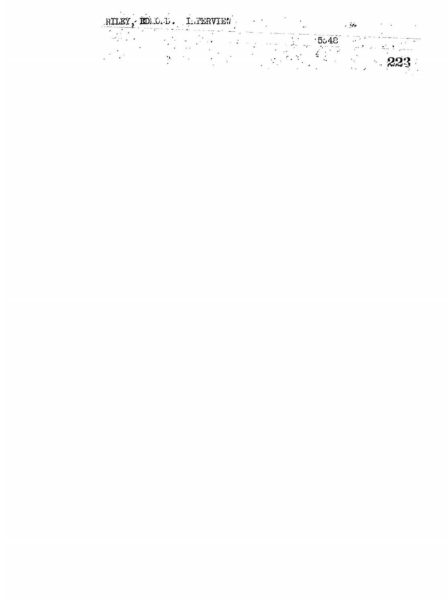RILEY, EDLO. D. LATERVIEN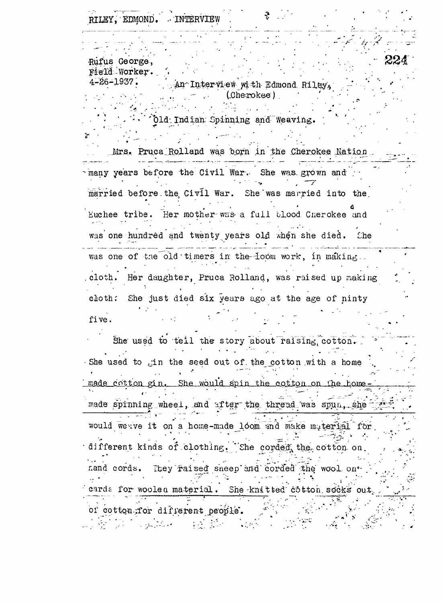RILEY, EDMOND. INTERVIEW

Rufus George, Field Worker.

 $4 - 26 - 1937$ . An Interview with Edmond Riley, (Cherokee)

Old Indian Spinning and Weaving.

Mrs. Pruca Rolland was born in the Cherokee Nation. many years before the Civil War. She was grown and married before the Civil War. She was married into the Euchee tribe. Her mother was a full blood Cherokee and  $\mathcal{L}^{\mathcal{L}}(\mathcal{L}^{\mathcal{L}})$  ,  $\mathcal{L}^{\mathcal{L}}(\mathcal{L}^{\mathcal{L}})$ was one hundred and twenty years old when she died. Che was one of the old timers in the loom work, in making.

cloth. Her daughter, Pruca Rolland, was raised up making cloth: She just died six years ago at the age of ninty five.  $\mathcal{L}^{\text{max}}$ 

She used to teil the story about raising cotton. She used to gin the seed out of the cotton with a home made cotton gin. She would spin the cotton on the homemade spinning wheel, and after the thread was spun, she would we ave it on a home-made loom and make material for different kinds of clothing. She corded the cotton on nand cords. They raised sneep and corded the wool on. cards for woolen material. She knitted cotton socks out of cotton for different people. المحافظة والمتوادين